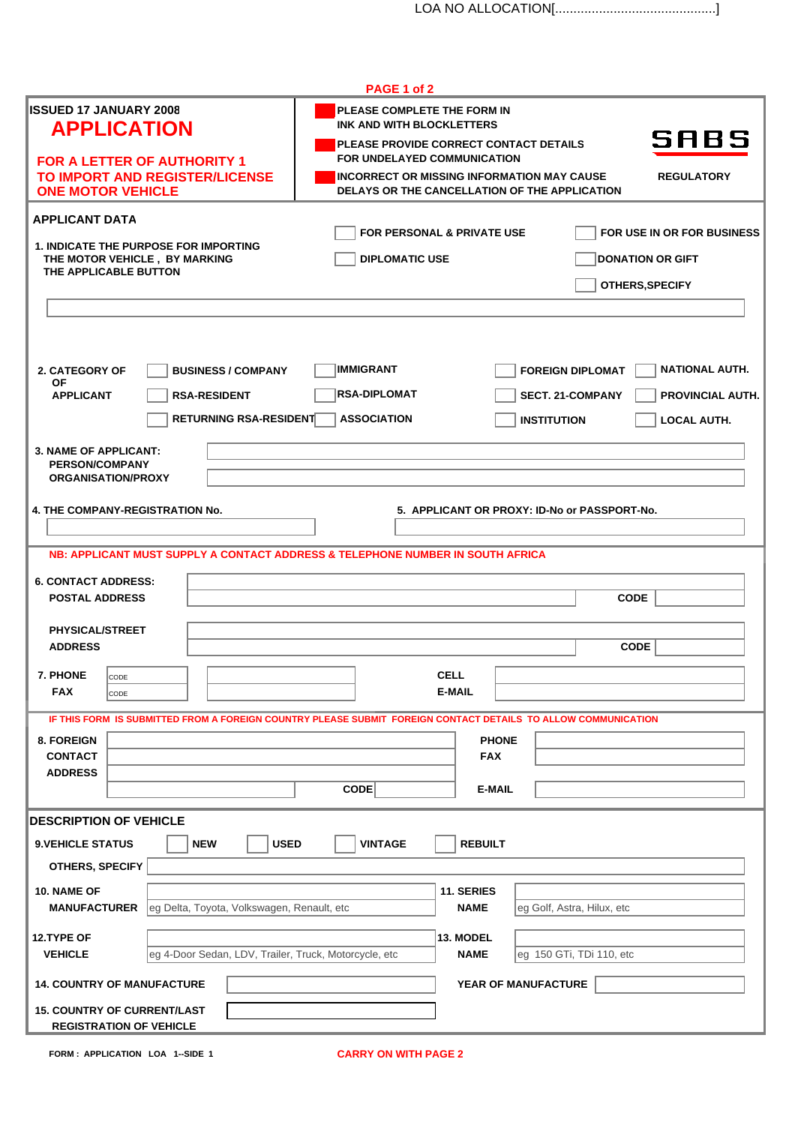|                                                                                        | PAGE 1 of 2                                                                                                                   |                                                    |
|----------------------------------------------------------------------------------------|-------------------------------------------------------------------------------------------------------------------------------|----------------------------------------------------|
| <b>ISSUED 17 JANUARY 2008</b><br><b>APPLICATION</b>                                    | PLEASE COMPLETE THE FORM IN<br><b>INK AND WITH BLOCKLETTERS</b>                                                               |                                                    |
| <b>FOR A LETTER OF AUTHORITY 1</b>                                                     | PLEASE PROVIDE CORRECT CONTACT DETAILS<br>FOR UNDELAYED COMMUNICATION                                                         | SABS                                               |
| TO IMPORT AND REGISTER/LICENSE<br><b>ONE MOTOR VEHICLE</b>                             | <b>INCORRECT OR MISSING INFORMATION MAY CAUSE</b><br>DELAYS OR THE CANCELLATION OF THE APPLICATION                            | <b>REGULATORY</b>                                  |
| <b>APPLICANT DATA</b>                                                                  |                                                                                                                               |                                                    |
| <b>1. INDICATE THE PURPOSE FOR IMPORTING</b>                                           | FOR PERSONAL & PRIVATE USE                                                                                                    | FOR USE IN OR FOR BUSINESS                         |
| THE MOTOR VEHICLE, BY MARKING<br>THE APPLICABLE BUTTON                                 | <b>DIPLOMATIC USE</b>                                                                                                         | <b>DONATION OR GIFT</b>                            |
|                                                                                        |                                                                                                                               | OTHERS, SPECIFY                                    |
|                                                                                        |                                                                                                                               |                                                    |
| 2. CATEGORY OF<br><b>BUSINESS / COMPANY</b>                                            | <b>IMMIGRANT</b>                                                                                                              | <b>FOREIGN DIPLOMAT</b><br><b>NATIONAL AUTH.</b>   |
| ΟF<br><b>APPLICANT</b><br><b>RSA-RESIDENT</b>                                          | <b>RSA-DIPLOMAT</b>                                                                                                           | <b>PROVINCIAL AUTH.</b><br><b>SECT. 21-COMPANY</b> |
| <b>RETURNING RSA-RESIDENT</b>                                                          | <b>ASSOCIATION</b>                                                                                                            | <b>INSTITUTION</b><br><b>LOCAL AUTH.</b>           |
| <b>3. NAME OF APPLICANT:</b><br><b>PERSON/COMPANY</b>                                  |                                                                                                                               |                                                    |
| <b>ORGANISATION/PROXY</b>                                                              |                                                                                                                               |                                                    |
| <b>4. THE COMPANY-REGISTRATION No.</b><br>5. APPLICANT OR PROXY: ID-No or PASSPORT-No. |                                                                                                                               |                                                    |
|                                                                                        | NB: APPLICANT MUST SUPPLY A CONTACT ADDRESS & TELEPHONE NUMBER IN SOUTH AFRICA                                                |                                                    |
| <b>6. CONTACT ADDRESS:</b>                                                             |                                                                                                                               |                                                    |
| <b>POSTAL ADDRESS</b>                                                                  |                                                                                                                               | <b>CODE</b>                                        |
| <b>PHYSICAL/STREET</b><br><b>ADDRESS</b>                                               |                                                                                                                               | <b>CODE</b>                                        |
| 7. PHONE<br>CODE                                                                       | <b>CELL</b>                                                                                                                   |                                                    |
| <b>FAX</b><br>CODE                                                                     | E-MAIL                                                                                                                        |                                                    |
| 8. FOREIGN                                                                             | IF THIS FORM IS SUBMITTED FROM A FOREIGN COUNTRY PLEASE SUBMIT FOREIGN CONTACT DETAILS TO ALLOW COMMUNICATION<br><b>PHONE</b> |                                                    |
| <b>CONTACT</b><br><b>ADDRESS</b>                                                       | <b>FAX</b>                                                                                                                    |                                                    |
|                                                                                        | CODE<br><b>E-MAIL</b>                                                                                                         |                                                    |
| <b>DESCRIPTION OF VEHICLE</b>                                                          |                                                                                                                               |                                                    |
| <b>NEW</b><br><b>USED</b><br><b>9. VEHICLE STATUS</b><br>OTHERS, SPECIFY               | <b>VINTAGE</b><br><b>REBUILT</b>                                                                                              |                                                    |
| 10. NAME OF                                                                            | 11. SERIES                                                                                                                    |                                                    |
| leg Delta, Toyota, Volkswagen, Renault, etc<br><b>MANUFACTURER</b>                     | <b>NAME</b>                                                                                                                   | eg Golf, Astra, Hilux, etc                         |
| 12.TYPE OF<br>eg 4-Door Sedan, LDV, Trailer, Truck, Motorcycle, etc<br><b>VEHICLE</b>  | 13. MODEL<br><b>NAME</b>                                                                                                      | eg 150 GTi, TDi 110, etc                           |
| <b>14. COUNTRY OF MANUFACTURE</b>                                                      | YEAR OF MANUFACTURE                                                                                                           |                                                    |
| <b>15. COUNTRY OF CURRENT/LAST</b>                                                     |                                                                                                                               |                                                    |
| <b>REGISTRATION OF VEHICLE</b>                                                         |                                                                                                                               |                                                    |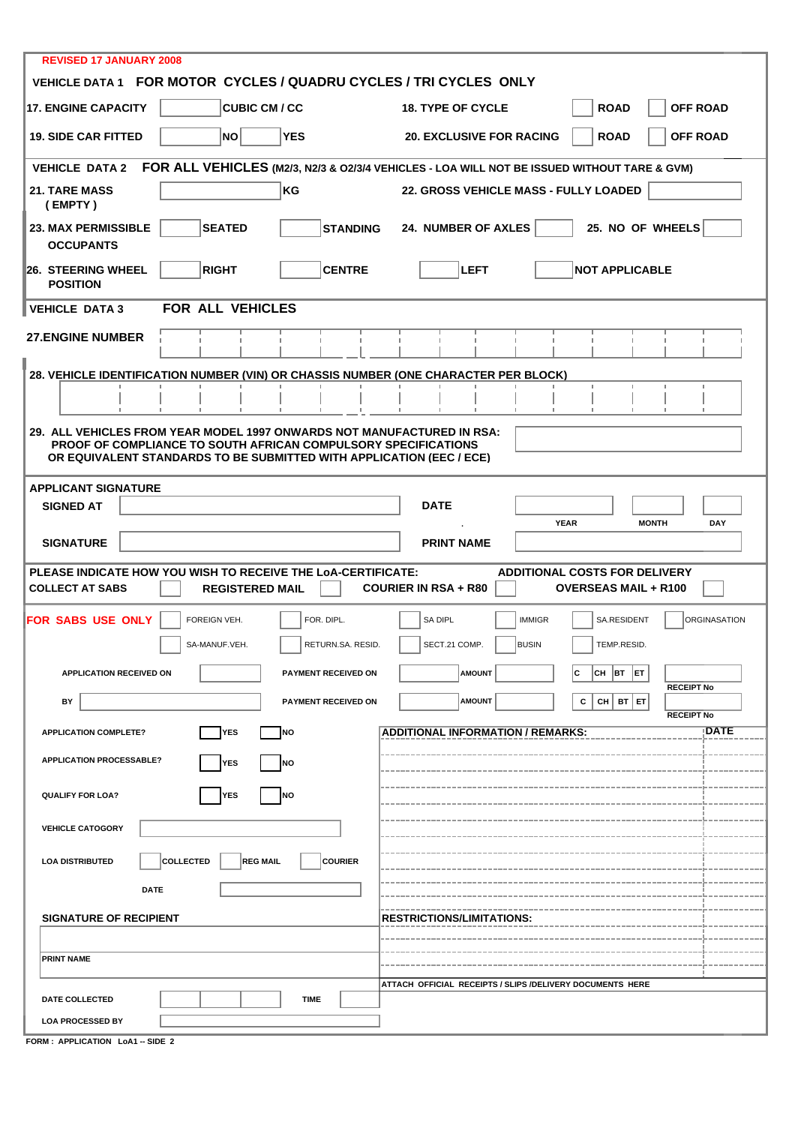| <b>REVISED 17 JANUARY 2008</b><br>VEHICLE DATA 1 FOR MOTOR CYCLES / QUADRU CYCLES / TRI CYCLES ONLY                                                                |                                                                              |  |  |  |
|--------------------------------------------------------------------------------------------------------------------------------------------------------------------|------------------------------------------------------------------------------|--|--|--|
| <b>17. ENGINE CAPACITY</b><br><b>CUBIC CM / CC</b>                                                                                                                 | <b>OFF ROAD</b><br><b>ROAD</b><br><b>18. TYPE OF CYCLE</b>                   |  |  |  |
| NO<br><b>YES</b><br><b>19. SIDE CAR FITTED</b>                                                                                                                     | <b>OFF ROAD</b><br><b>ROAD</b><br><b>20. EXCLUSIVE FOR RACING</b>            |  |  |  |
| <b>VEHICLE DATA 2</b>                                                                                                                                              |                                                                              |  |  |  |
| FOR ALL VEHICLES (M2/3, N2/3 & O2/3/4 VEHICLES - LOA WILL NOT BE ISSUED WITHOUT TARE & GVM)<br>KG<br>22. GROSS VEHICLE MASS - FULLY LOADED<br><b>21. TARE MASS</b> |                                                                              |  |  |  |
| (EMPTY)                                                                                                                                                            |                                                                              |  |  |  |
| <b>SEATED</b><br><b>23. MAX PERMISSIBLE</b><br><b>STANDING</b><br><b>OCCUPANTS</b>                                                                                 | 24. NUMBER OF AXLES<br>25. NO OF WHEELS                                      |  |  |  |
| <b>RIGHT</b><br><b>26. STEERING WHEEL</b><br><b>CENTRE</b><br><b>POSITION</b>                                                                                      | LEFT<br><b>NOT APPLICABLE</b>                                                |  |  |  |
| FOR ALL VEHICLES<br><b>VEHICLE DATA 3</b>                                                                                                                          |                                                                              |  |  |  |
| <b>27.ENGINE NUMBER</b>                                                                                                                                            |                                                                              |  |  |  |
| 28. VEHICLE IDENTIFICATION NUMBER (VIN) OR CHASSIS NUMBER (ONE CHARACTER PER BLOCK)                                                                                |                                                                              |  |  |  |
|                                                                                                                                                                    | п<br>f.<br>т.                                                                |  |  |  |
| 29. ALL VEHICLES FROM YEAR MODEL 1997 ONWARDS NOT MANUFACTURED IN RSA:                                                                                             |                                                                              |  |  |  |
| PROOF OF COMPLIANCE TO SOUTH AFRICAN COMPULSORY SPECIFICATIONS<br>OR EQUIVALENT STANDARDS TO BE SUBMITTED WITH APPLICATION (EEC / ECE)                             |                                                                              |  |  |  |
| <b>APPLICANT SIGNATURE</b>                                                                                                                                         |                                                                              |  |  |  |
| <b>SIGNED AT</b>                                                                                                                                                   | <b>DATE</b>                                                                  |  |  |  |
|                                                                                                                                                                    | <b>YEAR</b><br><b>MONTH</b><br><b>DAY</b>                                    |  |  |  |
|                                                                                                                                                                    |                                                                              |  |  |  |
| <b>SIGNATURE</b>                                                                                                                                                   | <b>PRINT NAME</b>                                                            |  |  |  |
| PLEASE INDICATE HOW YOU WISH TO RECEIVE THE LOA-CERTIFICATE:                                                                                                       | <b>ADDITIONAL COSTS FOR DELIVERY</b>                                         |  |  |  |
| <b>COLLECT AT SABS</b><br><b>REGISTERED MAIL</b>                                                                                                                   | <b>COURIER IN RSA + R80</b><br><b>OVERSEAS MAIL + R100</b>                   |  |  |  |
| <b>FOR SABS USE ONLY</b><br>FOR. DIPL.<br>FOREIGN VEH.                                                                                                             | SA DIPL<br>SA.RESIDENT<br><b>ORGINASATION</b><br><b>IMMIGR</b>               |  |  |  |
| SA-MANUF.VEH.<br>RETURN.SA. RESID.                                                                                                                                 | SECT.21 COMP.<br><b>BUSIN</b><br>TEMP.RESID.                                 |  |  |  |
| <b>APPLICATION RECEIVED ON</b><br><b>PAYMENT RECEIVED ON</b>                                                                                                       | <b>AMOUNT</b><br>CH<br> BT<br> ET                                            |  |  |  |
| BY<br>PAYMENT RECEIVED ON                                                                                                                                          | <b>RECEIPT No</b><br><b>AMOUNT</b><br>с<br>$CH$ BT $ET$                      |  |  |  |
| <b>NO</b><br><b>APPLICATION COMPLETE?</b><br><b>YES</b>                                                                                                            | <b>RECEIPT No</b><br><b>DATE</b><br><b>ADDITIONAL INFORMATION / REMARKS:</b> |  |  |  |
| <b>APPLICATION PROCESSABLE?</b><br>YES<br>NO                                                                                                                       |                                                                              |  |  |  |
|                                                                                                                                                                    |                                                                              |  |  |  |
| <b>QUALIFY FOR LOA?</b><br><b>NO</b><br>ΈS                                                                                                                         |                                                                              |  |  |  |
| <b>VEHICLE CATOGORY</b>                                                                                                                                            |                                                                              |  |  |  |
| <b>COURIER</b><br>COLLECTED<br><b>REG MAIL</b><br><b>LOA DISTRIBUTED</b>                                                                                           |                                                                              |  |  |  |
| <b>DATE</b>                                                                                                                                                        |                                                                              |  |  |  |
| <b>SIGNATURE OF RECIPIENT</b>                                                                                                                                      | <b>RESTRICTIONS/LIMITATIONS:</b>                                             |  |  |  |
|                                                                                                                                                                    |                                                                              |  |  |  |
| <b>PRINT NAME</b>                                                                                                                                                  |                                                                              |  |  |  |
|                                                                                                                                                                    | ATTACH OFFICIAL RECEIPTS / SLIPS /DELIVERY DOCUMENTS HERE                    |  |  |  |
| DATE COLLECTED<br><b>TIME</b>                                                                                                                                      |                                                                              |  |  |  |

**FORM : APPLICATION LoA1 -- SIDE 2**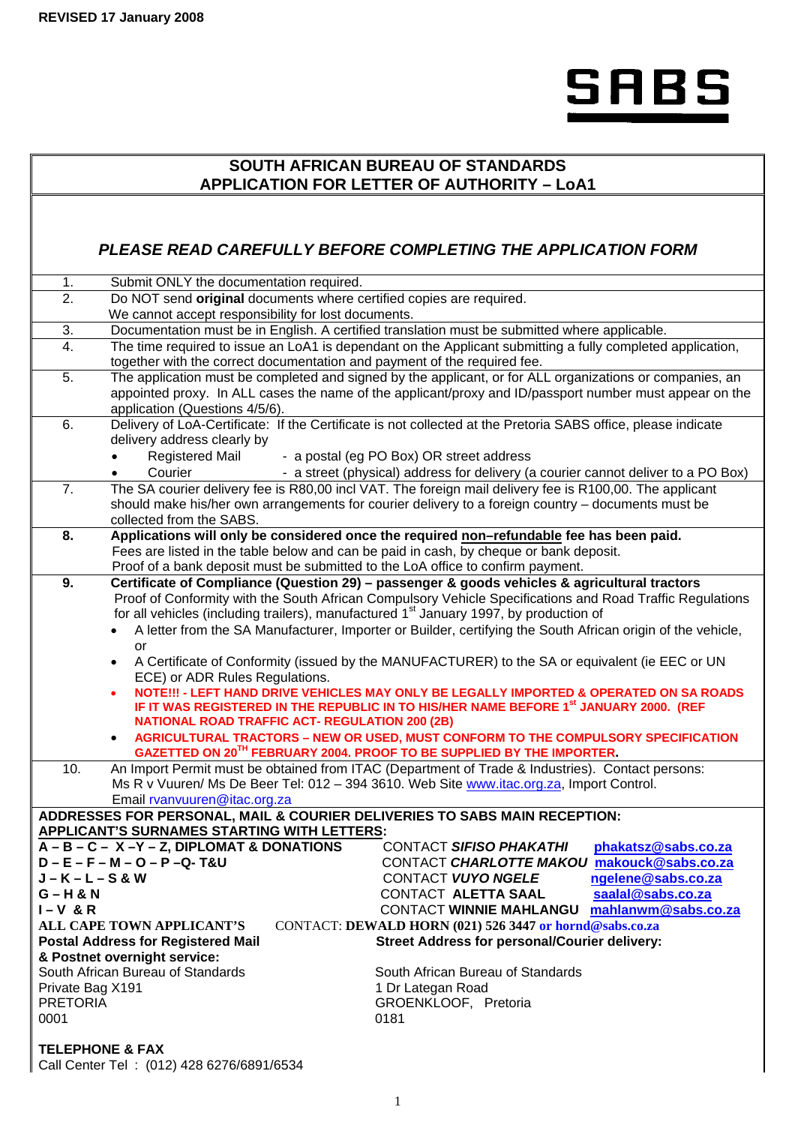

# **SOUTH AFRICAN BUREAU OF STANDARDS APPLICATION FOR LETTER OF AUTHORITY – LoA1**

# *PLEASE READ CAREFULLY BEFORE COMPLETING THE APPLICATION FORM*

|                                                                                                   | <u>FLEASE READ CAREFULL I DEFURE CUMFLETING THE AFFLICATION FURM</u>                                                                            |  |  |
|---------------------------------------------------------------------------------------------------|-------------------------------------------------------------------------------------------------------------------------------------------------|--|--|
| 1.                                                                                                | Submit ONLY the documentation required.                                                                                                         |  |  |
| $\overline{2}$ .                                                                                  | Do NOT send original documents where certified copies are required.                                                                             |  |  |
|                                                                                                   | We cannot accept responsibility for lost documents.                                                                                             |  |  |
| 3.                                                                                                | Documentation must be in English. A certified translation must be submitted where applicable.                                                   |  |  |
| $\overline{4}$ .                                                                                  | The time required to issue an LoA1 is dependant on the Applicant submitting a fully completed application,                                      |  |  |
|                                                                                                   | together with the correct documentation and payment of the required fee.                                                                        |  |  |
| 5.                                                                                                | The application must be completed and signed by the applicant, or for ALL organizations or companies, an                                        |  |  |
|                                                                                                   | appointed proxy. In ALL cases the name of the applicant/proxy and ID/passport number must appear on the                                         |  |  |
| 6.                                                                                                | application (Questions 4/5/6).<br>Delivery of LoA-Certificate: If the Certificate is not collected at the Pretoria SABS office, please indicate |  |  |
|                                                                                                   | delivery address clearly by                                                                                                                     |  |  |
|                                                                                                   | <b>Registered Mail</b><br>- a postal (eg PO Box) OR street address                                                                              |  |  |
|                                                                                                   | Courier<br>- a street (physical) address for delivery (a courier cannot deliver to a PO Box)                                                    |  |  |
| $\overline{7}$ .                                                                                  | The SA courier delivery fee is R80,00 incl VAT. The foreign mail delivery fee is R100,00. The applicant                                         |  |  |
|                                                                                                   | should make his/her own arrangements for courier delivery to a foreign country - documents must be                                              |  |  |
|                                                                                                   | collected from the SABS.                                                                                                                        |  |  |
| 8.                                                                                                | Applications will only be considered once the required non-refundable fee has been paid.                                                        |  |  |
|                                                                                                   | Fees are listed in the table below and can be paid in cash, by cheque or bank deposit.                                                          |  |  |
|                                                                                                   | Proof of a bank deposit must be submitted to the LoA office to confirm payment.                                                                 |  |  |
| 9.                                                                                                | Certificate of Compliance (Question 29) - passenger & goods vehicles & agricultural tractors                                                    |  |  |
|                                                                                                   | Proof of Conformity with the South African Compulsory Vehicle Specifications and Road Traffic Regulations                                       |  |  |
|                                                                                                   | for all vehicles (including trailers), manufactured 1 <sup>st</sup> January 1997, by production of                                              |  |  |
|                                                                                                   | A letter from the SA Manufacturer, Importer or Builder, certifying the South African origin of the vehicle,                                     |  |  |
|                                                                                                   | or                                                                                                                                              |  |  |
|                                                                                                   | A Certificate of Conformity (issued by the MANUFACTURER) to the SA or equivalent (ie EEC or UN<br>$\bullet$<br>ECE) or ADR Rules Regulations.   |  |  |
|                                                                                                   | NOTE !!! - LEFT HAND DRIVE VEHICLES MAY ONLY BE LEGALLY IMPORTED & OPERATED ON SA ROADS                                                         |  |  |
| IF IT WAS REGISTERED IN THE REPUBLIC IN TO HIS/HER NAME BEFORE 1 <sup>st</sup> JANUARY 2000. (REF |                                                                                                                                                 |  |  |
|                                                                                                   | <b>NATIONAL ROAD TRAFFIC ACT- REGULATION 200 (2B)</b>                                                                                           |  |  |
|                                                                                                   | AGRICULTURAL TRACTORS - NEW OR USED, MUST CONFORM TO THE COMPULSORY SPECIFICATION                                                               |  |  |
|                                                                                                   | GAZETTED ON 20 <sup>TH</sup> FEBRUARY 2004. PROOF TO BE SUPPLIED BY THE IMPORTER.                                                               |  |  |
| 10.                                                                                               | An Import Permit must be obtained from ITAC (Department of Trade & Industries). Contact persons:                                                |  |  |
|                                                                                                   | Ms R v Vuuren/ Ms De Beer Tel: 012 - 394 3610. Web Site www.itac.org.za, Import Control.                                                        |  |  |
|                                                                                                   | Email rvanvuuren@itac.org.za<br>ADDRESSES FOR PERSONAL, MAIL & COURIER DELIVERIES TO SABS MAIN RECEPTION:                                       |  |  |
|                                                                                                   | <b>APPLICANT'S SURNAMES STARTING WITH LETTERS:</b>                                                                                              |  |  |
|                                                                                                   | $A - B - C - X - Y - Z$ , DIPLOMAT & DONATIONS<br>CONTACT SIFISO PHAKATHI<br>phakatsz@sabs.co.za                                                |  |  |
|                                                                                                   | $D - E - F - M - O - P - Q - T&U$<br>CONTACT CHARLOTTE MAKOU makouck@sabs.co.za                                                                 |  |  |
| $J-K-L-S$ &W                                                                                      | CONTACT VUYO NGELE<br>ngelene@sabs.co.za                                                                                                        |  |  |
| $G - H & N$                                                                                       | saalal@sabs.co.za<br>CONTACT ALETTA SAAL                                                                                                        |  |  |
| $I-V$ & R                                                                                         | CONTACT WINNIE MAHLANGU mahlanwm@sabs.co.za                                                                                                     |  |  |
|                                                                                                   | ALL CAPE TOWN APPLICANT'S<br>CONTACT: DEWALD HORN (021) 526 3447 or hornd@sabs.co.za                                                            |  |  |
|                                                                                                   | <b>Postal Address for Registered Mail</b><br><b>Street Address for personal/Courier delivery:</b>                                               |  |  |
|                                                                                                   | & Postnet overnight service:                                                                                                                    |  |  |
|                                                                                                   | South African Bureau of Standards<br>South African Bureau of Standards                                                                          |  |  |
| Private Bag X191<br><b>PRETORIA</b>                                                               | 1 Dr Lategan Road<br>GROENKLOOF, Pretoria                                                                                                       |  |  |
| 0001                                                                                              | 0181                                                                                                                                            |  |  |
|                                                                                                   |                                                                                                                                                 |  |  |
| <b>TELEPHONE &amp; FAX</b>                                                                        |                                                                                                                                                 |  |  |

Call Center Tel : (012) 428 6276/6891/6534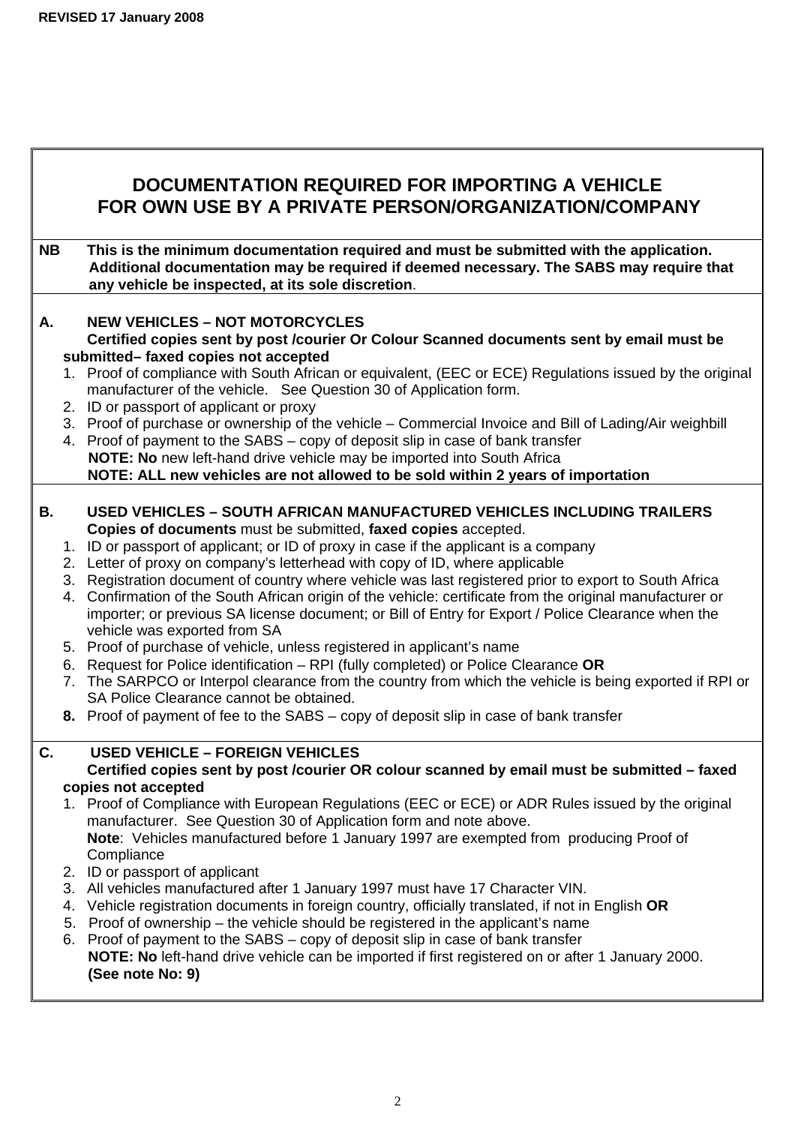# **DOCUMENTATION REQUIRED FOR IMPORTING A VEHICLE FOR OWN USE BY A PRIVATE PERSON/ORGANIZATION/COMPANY**

**NB This is the minimum documentation required and must be submitted with the application. Additional documentation may be required if deemed necessary. The SABS may require that any vehicle be inspected, at its sole discretion**.

# **A. NEW VEHICLES – NOT MOTORCYCLES**

 **Certified copies sent by post /courier Or Colour Scanned documents sent by email must be submitted– faxed copies not accepted** 

- 1. Proof of compliance with South African or equivalent, (EEC or ECE) Regulations issued by the original manufacturer of the vehicle. See Question 30 of Application form.
- 2. ID or passport of applicant or proxy
- 3. Proof of purchase or ownership of the vehicle Commercial Invoice and Bill of Lading/Air weighbill
- 4. Proof of payment to the SABS copy of deposit slip in case of bank transfer  **NOTE: No** new left-hand drive vehicle may be imported into South Africa  **NOTE: ALL new vehicles are not allowed to be sold within 2 years of importation**
- **B. USED VEHICLES SOUTH AFRICAN MANUFACTURED VEHICLES INCLUDING TRAILERS Copies of documents** must be submitted, **faxed copies** accepted.
	- 1. ID or passport of applicant; or ID of proxy in case if the applicant is a company
	- 2. Letter of proxy on company's letterhead with copy of ID, where applicable
	- 3. Registration document of country where vehicle was last registered prior to export to South Africa
	- 4. Confirmation of the South African origin of the vehicle: certificate from the original manufacturer or importer; or previous SA license document; or Bill of Entry for Export / Police Clearance when the vehicle was exported from SA
	- 5. Proof of purchase of vehicle, unless registered in applicant's name
	- 6. Request for Police identification RPI (fully completed) or Police Clearance **OR**
	- 7. The SARPCO or Interpol clearance from the country from which the vehicle is being exported if RPI or SA Police Clearance cannot be obtained.
	- **8.** Proof of payment of fee to the SABS copy of deposit slip in case of bank transfer

# **C. USED VEHICLE – FOREIGN VEHICLES**

# **Certified copies sent by post /courier OR colour scanned by email must be submitted – faxed copies not accepted**

- 1. Proof of Compliance with European Regulations (EEC or ECE) or ADR Rules issued by the original manufacturer. See Question 30 of Application form and note above. **Note**: Vehicles manufactured before 1 January 1997 are exempted from producing Proof of **Compliance**
- 2. ID or passport of applicant
- 3. All vehicles manufactured after 1 January 1997 must have 17 Character VIN.
- 4. Vehicle registration documents in foreign country, officially translated, if not in English **OR**
- 5. Proof of ownership the vehicle should be registered in the applicant's name
- 6. Proof of payment to the SABS copy of deposit slip in case of bank transfer **NOTE: No** left-hand drive vehicle can be imported if first registered on or after 1 January 2000. **(See note No: 9)**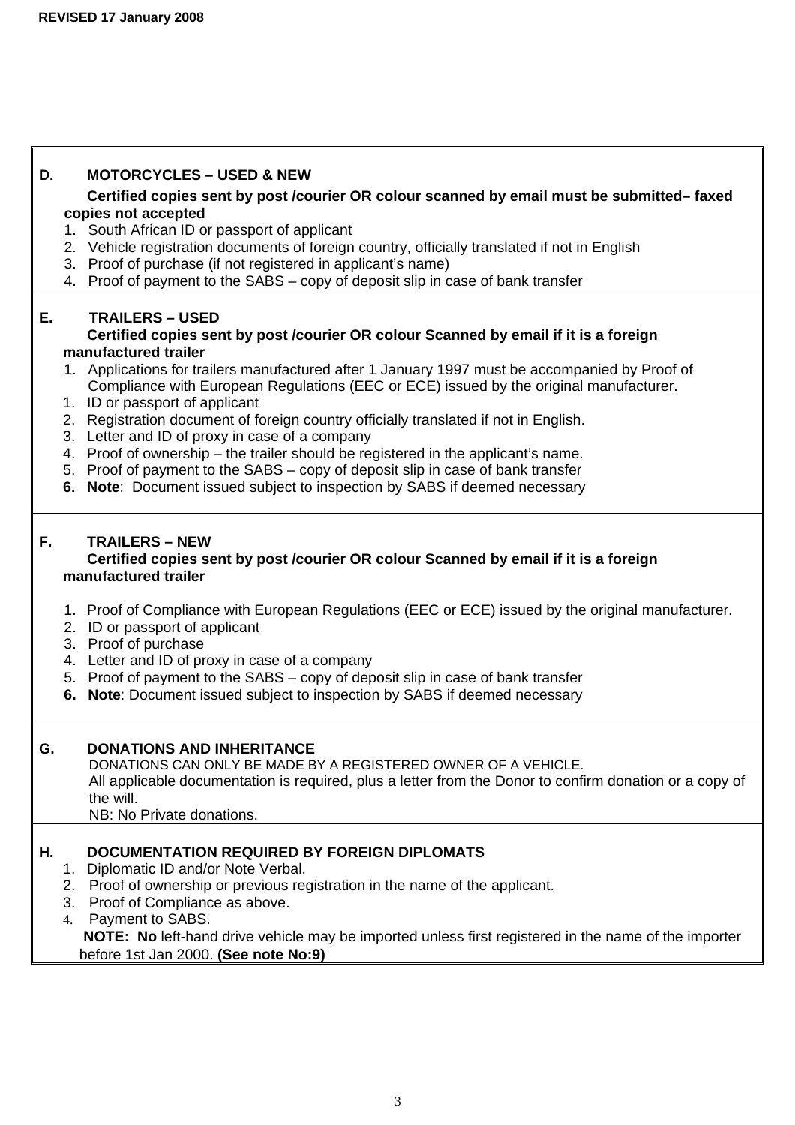# **D. MOTORCYCLES – USED & NEW**

 **Certified copies sent by post /courier OR colour scanned by email must be submitted– faxed copies not accepted** 

- 1. South African ID or passport of applicant
- 2. Vehicle registration documents of foreign country, officially translated if not in English
- 3. Proof of purchase (if not registered in applicant's name)
- 4. Proof of payment to the SABS copy of deposit slip in case of bank transfer

# **E. TRAILERS – USED**

### **Certified copies sent by post /courier OR colour Scanned by email if it is a foreign manufactured trailer**

- 1. Applications for trailers manufactured after 1 January 1997 must be accompanied by Proof of Compliance with European Regulations (EEC or ECE) issued by the original manufacturer.
- 1. ID or passport of applicant
- 2. Registration document of foreign country officially translated if not in English.
- 3. Letter and ID of proxy in case of a company
- 4. Proof of ownership the trailer should be registered in the applicant's name.
- 5. Proof of payment to the SABS copy of deposit slip in case of bank transfer
- **6. Note**:Document issued subject to inspection by SABS if deemed necessary

# **F. TRAILERS – NEW**

# **Certified copies sent by post /courier OR colour Scanned by email if it is a foreign manufactured trailer**

- 1. Proof of Compliance with European Regulations (EEC or ECE) issued by the original manufacturer.
- 2. ID or passport of applicant
- 3. Proof of purchase
- 4. Letter and ID of proxy in case of a company
- 5. Proof of payment to the SABS copy of deposit slip in case of bank transfer
- **6. Note**: Document issued subject to inspection by SABS if deemed necessary

### **G. DONATIONS AND INHERITANCE**

DONATIONS CAN ONLY BE MADE BY A REGISTERED OWNER OF A VEHICLE. All applicable documentation is required, plus a letter from the Donor to confirm donation or a copy of the will.

NB: No Private donations.

# **H. DOCUMENTATION REQUIRED BY FOREIGN DIPLOMATS**

- 1. Diplomatic ID and/or Note Verbal.
- 2. Proof of ownership or previous registration in the name of the applicant.
- 3. Proof of Compliance as above.
- 4. Payment to SABS.

 **NOTE: No** left-hand drive vehicle may be imported unless first registered in the name of the importer before 1st Jan 2000. **(See note No:9)**